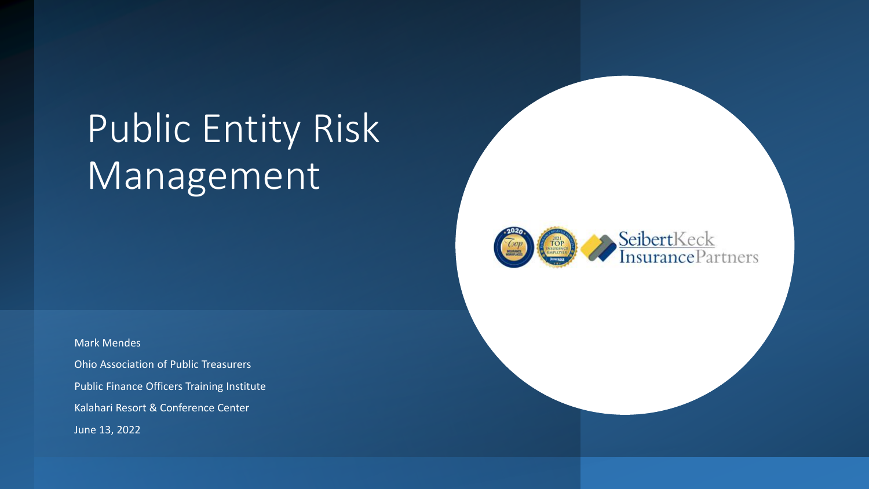# Public Entity Risk Management

Mark Mendes

Ohio Association of Public Treasurers Public Finance Officers Training Institute Kalahari Resort & Conference Center June 13, 2022

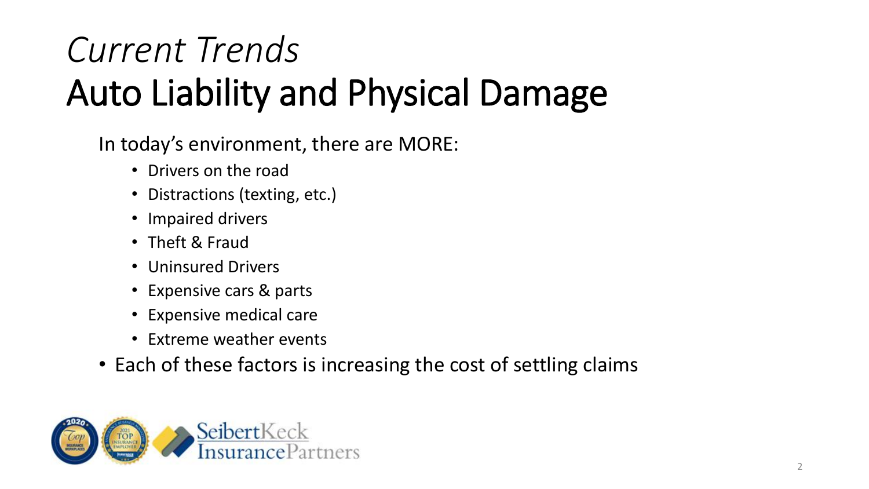## *Current Trends* Auto Liability and Physical Damage

In today's environment, there are MORE:

- Drivers on the road
- Distractions (texting, etc.)
- Impaired drivers
- Theft & Fraud
- Uninsured Drivers
- Expensive cars & parts
- Expensive medical care
- Extreme weather events
- Each of these factors is increasing the cost of settling claims

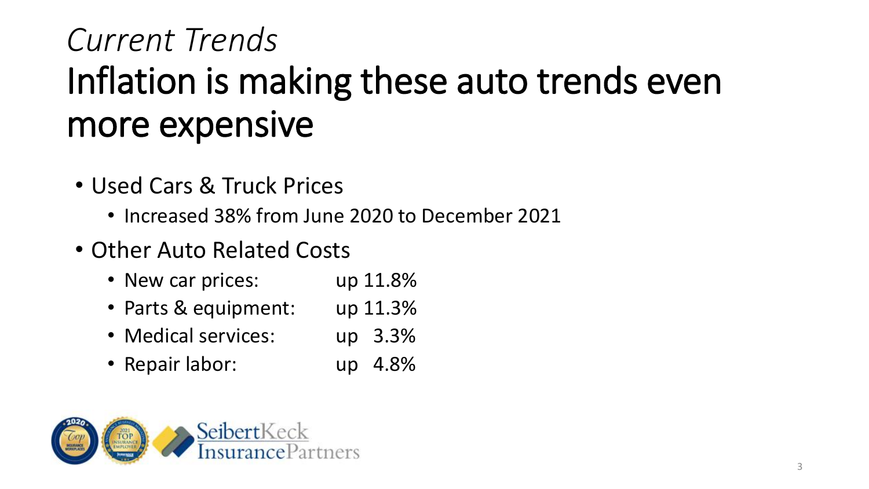### *Current Trends* Inflation is making these auto trends even more expensive

- Used Cars & Truck Prices
	- Increased 38% from June 2020 to December 2021
- Other Auto Related Costs
	- New car prices: up 11.8%
	- Parts & equipment: up 11.3%
	- Medical services: up 3.3%
	- Repair labor: up 4.8%

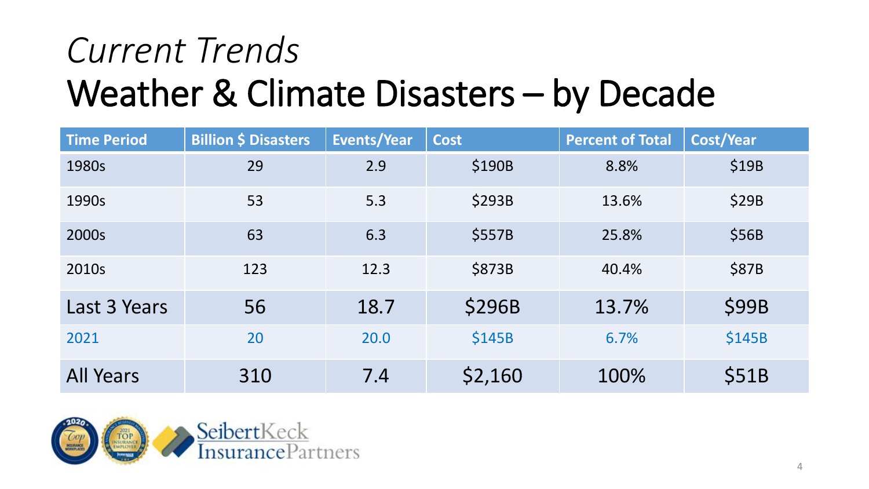### *Current Trends* Weather & Climate Disasters – by Decade

| <b>Time Period</b> | <b>Billion \$ Disasters</b> | Events/Year | <b>Cost</b>   | <b>Percent of Total</b> | <b>Cost/Year</b> |
|--------------------|-----------------------------|-------------|---------------|-------------------------|------------------|
| 1980s              | 29                          | 2.9         | \$190B        | 8.8%                    | \$19B            |
| 1990s              | 53                          | 5.3         | \$293B        | 13.6%                   | \$29B            |
| 2000s              | 63                          | 6.3         | \$557B        | 25.8%                   | \$56B            |
| 2010s              | 123                         | 12.3        | <b>\$873B</b> | 40.4%                   | <b>\$87B</b>     |
| Last 3 Years       | 56                          | 18.7        | <b>\$296B</b> | 13.7%                   | <b>\$99B</b>     |
| 2021               | 20                          | 20.0        | \$145B        | 6.7%                    | \$145B           |
| <b>All Years</b>   | 310                         | 7.4         | \$2,160       | 100%                    | \$51B            |

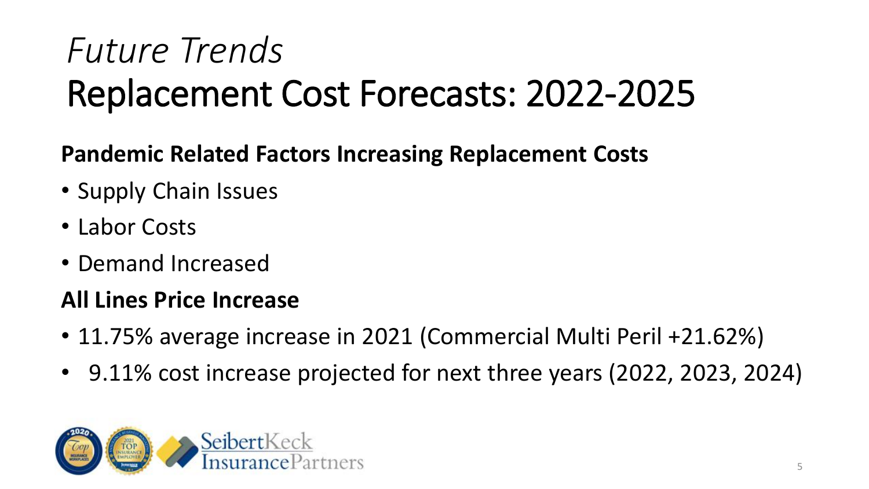### *Future Trends* Replacement Cost Forecasts: 2022-2025

#### **Pandemic Related Factors Increasing Replacement Costs**

- Supply Chain Issues
- Labor Costs
- Demand Increased

### **All Lines Price Increase**

- 11.75% average increase in 2021 (Commercial Multi Peril +21.62%)
- 9.11% cost increase projected for next three years (2022, 2023, 2024)

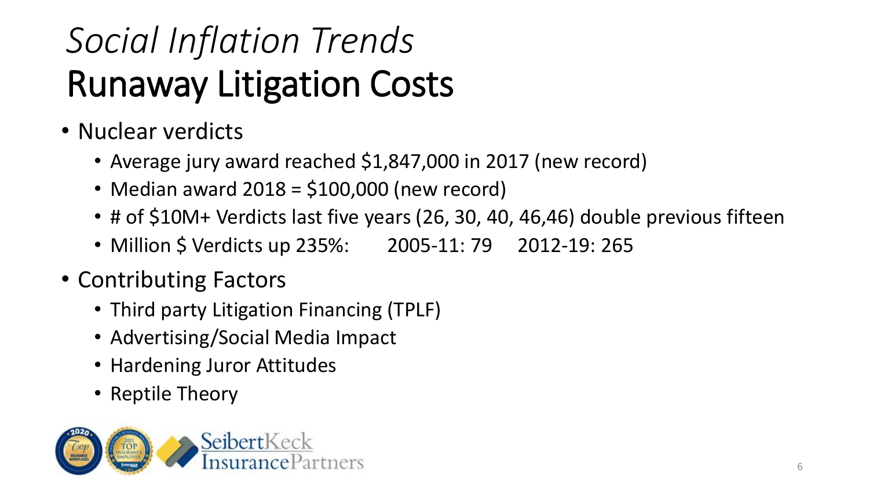# *Social Inflation Trends* Runaway Litigation Costs

- Nuclear verdicts
	- Average jury award reached \$1,847,000 in 2017 (new record)
	- Median award 2018 = \$100,000 (new record)
	- # of \$10M+ Verdicts last five years (26, 30, 40, 46,46) double previous fifteen
	- Million \$ Verdicts up 235%: 2005-11: 79 2012-19: 265
- Contributing Factors
	- Third party Litigation Financing (TPLF)
	- Advertising/Social Media Impact
	- Hardening Juror Attitudes
	- Reptile Theory

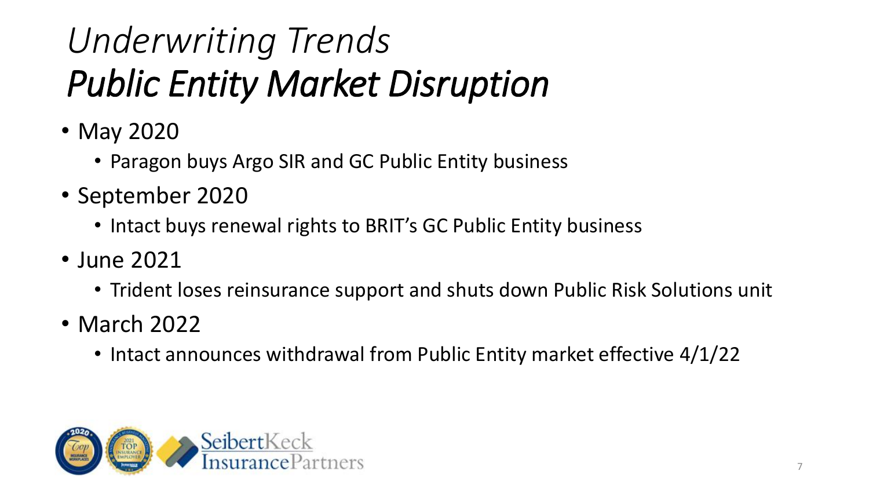## *Underwriting Trends Public Entity Market Disruption*

- May 2020
	- Paragon buys Argo SIR and GC Public Entity business
- September 2020
	- Intact buys renewal rights to BRIT's GC Public Entity business
- June 2021
	- Trident loses reinsurance support and shuts down Public Risk Solutions unit
- March 2022
	- Intact announces withdrawal from Public Entity market effective 4/1/22